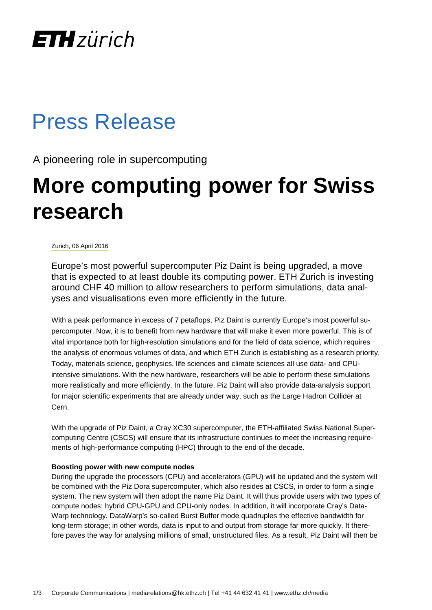# **ETH** zürich

### Press Release

A pioneering role in supercomputing

# **More computing power for Swiss research**

### Zurich, 06 April 2016

Europe's most powerful supercomputer Piz Daint is being upgraded, a move that is expected to at least double its computing power. ETH Zurich is investing around CHF 40 million to allow researchers to perform simulations, data analyses and visualisations even more efficiently in the future.

With a peak performance in excess of 7 petaflops, Piz Daint is currently Europe's most powerful supercomputer. Now, it is to benefit from new hardware that will make it even more powerful. This is of vital importance both for high-resolution simulations and for the field of data science, which requires the analysis of enormous volumes of data, and which ETH Zurich is establishing as a research priority. Today, materials science, geophysics, life sciences and climate sciences all use data- and CPUintensive simulations. With the new hardware, researchers will be able to perform these simulations more realistically and more efficiently. In the future, Piz Daint will also provide data-analysis support for major scientific experiments that are already under way, such as the Large Hadron Collider at Cern.

With the upgrade of Piz Daint, a Cray XC30 supercomputer, the ETH-affiliated Swiss National Supercomputing Centre (CSCS) will ensure that its infrastructure continues to meet the increasing requirements of high-performance computing (HPC) through to the end of the decade.

#### **Boosting power with new compute nodes**

During the upgrade the processors (CPU) and accelerators (GPU) will be updated and the system will be combined with the Piz Dora supercomputer, which also resides at CSCS, in order to form a single system. The new system will then adopt the name Piz Daint. It will thus provide users with two types of compute nodes: hybrid CPU-GPU and CPU-only nodes. In addition, it will incorporate Cray's Data-Warp technology. DataWarp's so-called Burst Buffer mode quadruples the effective bandwidth for long-term storage; in other words, data is input to and output from storage far more quickly. It therefore paves the way for analysing millions of small, unstructured files. As a result, Piz Daint will then be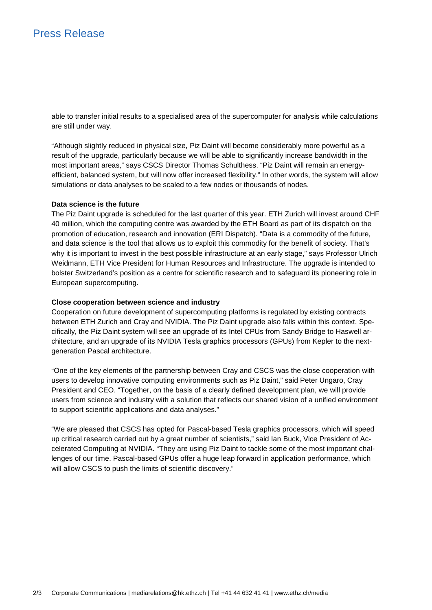able to transfer initial results to a specialised area of the supercomputer for analysis while calculations are still under way.

"Although slightly reduced in physical size, Piz Daint will become considerably more powerful as a result of the upgrade, particularly because we will be able to significantly increase bandwidth in the most important areas," says CSCS Director Thomas Schulthess. "Piz Daint will remain an energyefficient, balanced system, but will now offer increased flexibility." In other words, the system will allow simulations or data analyses to be scaled to a few nodes or thousands of nodes.

#### **Data science is the future**

The Piz Daint upgrade is scheduled for the last quarter of this year. ETH Zurich will invest around CHF 40 million, which the computing centre was awarded by the ETH Board as part of its dispatch on the promotion of education, research and innovation (ERI Dispatch). "Data is a commodity of the future, and data science is the tool that allows us to exploit this commodity for the benefit of society. That's why it is important to invest in the best possible infrastructure at an early stage," says Professor Ulrich Weidmann, ETH Vice President for Human Resources and Infrastructure. The upgrade is intended to bolster Switzerland's position as a centre for scientific research and to safeguard its pioneering role in European supercomputing.

#### **Close cooperation between science and industry**

Cooperation on future development of supercomputing platforms is regulated by existing contracts between ETH Zurich and Cray and NVIDIA. The Piz Daint upgrade also falls within this context. Specifically, the Piz Daint system will see an upgrade of its Intel CPUs from Sandy Bridge to Haswell architecture, and an upgrade of its NVIDIA Tesla graphics processors (GPUs) from Kepler to the nextgeneration Pascal architecture.

"One of the key elements of the partnership between Cray and CSCS was the close cooperation with users to develop innovative computing environments such as Piz Daint," said Peter Ungaro, Cray President and CEO. "Together, on the basis of a clearly defined development plan, we will provide users from science and industry with a solution that reflects our shared vision of a unified environment to support scientific applications and data analyses."

"We are pleased that CSCS has opted for Pascal-based Tesla graphics processors, which will speed up critical research carried out by a great number of scientists," said Ian Buck, Vice President of Accelerated Computing at NVIDIA. "They are using Piz Daint to tackle some of the most important challenges of our time. Pascal-based GPUs offer a huge leap forward in application performance, which will allow CSCS to push the limits of scientific discovery."